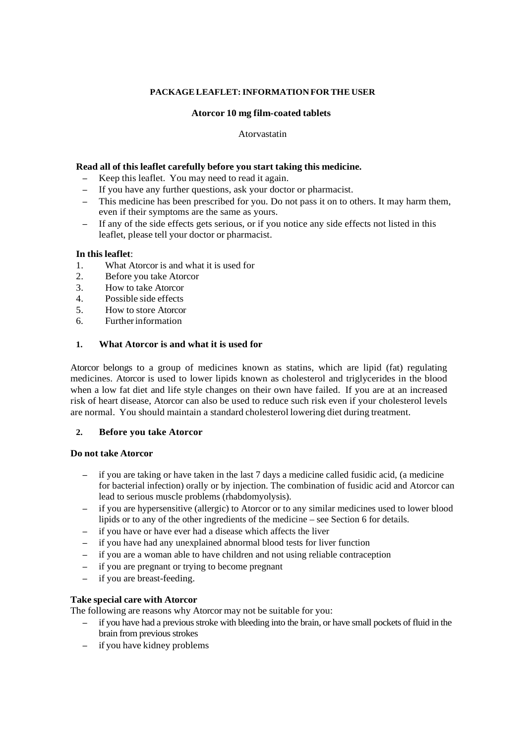# **PACKAGE LEAFLET: INFORMATION FOR THE USER**

# **Atorcor 10 mg film-coated tablets**

### Atorvastatin

## **Read all of this leaflet carefully before you start taking this medicine.**

- Keep this leaflet. You may need to read it again.
- If you have any further questions, ask your doctor or pharmacist.
- This medicine has been prescribed for you. Do not pass it on to others. It may harm them, even if their symptoms are the same as yours.
- If any of the side effects gets serious, or if you notice any side effects not listed in this leaflet, please tell your doctor or pharmacist.

### **In this leaflet**:

- 1. What Atorcor is and what it is used for
- 2. Before you take Atorcor
- 3. How to take Atorcor
- 4. Possible side effects
- 5. How to store Atorcor
- 6. Further information

# **1. What Atorcor is and what it is used for**

Atorcor belongs to a group of medicines known as statins, which are lipid (fat) regulating medicines. Atorcor is used to lower lipids known as cholesterol and triglycerides in the blood when a low fat diet and life style changes on their own have failed. If you are at an increased risk of heart disease, Atorcor can also be used to reduce such risk even if your cholesterol levels are normal. You should maintain a standard cholesterol lowering diet during treatment.

## **2. Before you take Atorcor**

#### **Do not take Atorcor**

- if you are taking or have taken in the last 7 days a medicine called fusidic acid, (a medicine for bacterial infection) orally or by injection. The combination of fusidic acid and Atorcor can lead to serious muscle problems (rhabdomyolysis).
- if you are hypersensitive (allergic) to Atorcor or to any similar medicines used to lower blood lipids or to any of the other ingredients of the medicine – see Section 6 for details.
- if you have or have ever had a disease which affects the liver
- if you have had any unexplained abnormal blood tests for liver function
- if you are a woman able to have children and not using reliable contraception
- if you are pregnant or trying to become pregnant
- if you are breast-feeding.

#### **Take special care with Atorcor**

The following are reasons why Atorcor may not be suitable for you:

- if you have had a previous stroke with bleeding into the brain, or have small pockets of fluid in the brain from previous strokes
- if you have kidney problems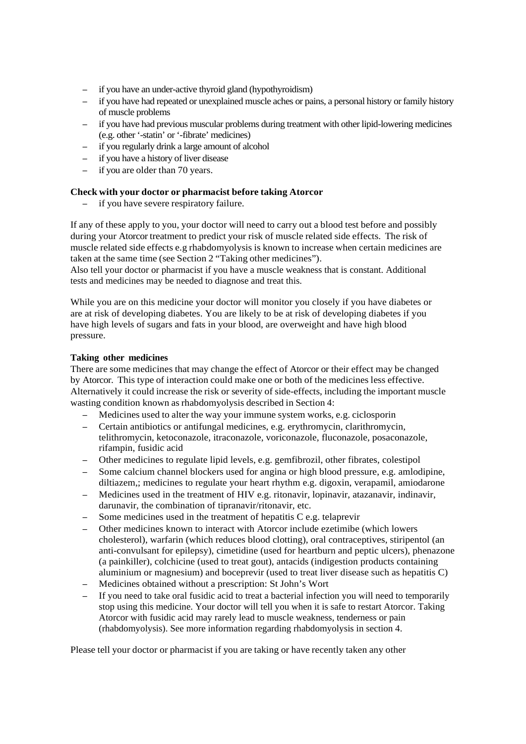- if you have an under-active thyroid gland (hypothyroidism)
- if you have had repeated or unexplained muscle aches or pains, a personal history or family history of muscle problems
- if you have had previous muscular problems during treatment with other lipid-lowering medicines (e.g. other '-statin' or '-fibrate' medicines)
- if you regularly drink a large amount of alcohol
- if you have a history of liver disease
- if you are older than 70 years.

# **Check with your doctor or pharmacist before taking Atorcor**

if you have severe respiratory failure.

If any of these apply to you, your doctor will need to carry out a blood test before and possibly during your Atorcor treatment to predict your risk of muscle related side effects. The risk of muscle related side effects e.g rhabdomyolysis is known to increase when certain medicines are taken at the same time (see Section 2 "Taking other medicines").

Also tell your doctor or pharmacist if you have a muscle weakness that is constant. Additional tests and medicines may be needed to diagnose and treat this.

While you are on this medicine your doctor will monitor you closely if you have diabetes or are at risk of developing diabetes. You are likely to be at risk of developing diabetes if you have high levels of sugars and fats in your blood, are overweight and have high blood pressure.

# **Taking other medicines**

There are some medicines that may change the effect of Atorcor or their effect may be changed by Atorcor. This type of interaction could make one or both of the medicines less effective. Alternatively it could increase the risk or severity of side-effects, including the important muscle wasting condition known as rhabdomyolysis described in Section 4:

- Medicines used to alter the way your immune system works, e.g. ciclosporin
- Certain antibiotics or antifungal medicines, e.g. erythromycin, clarithromycin, telithromycin, ketoconazole, itraconazole, voriconazole, fluconazole, posaconazole, rifampin, fusidic acid
- Other medicines to regulate lipid levels, e.g. gemfibrozil, other fibrates, colestipol
- Some calcium channel blockers used for angina or high blood pressure, e.g. amlodipine, diltiazem,; medicines to regulate your heart rhythm e.g. digoxin, verapamil, amiodarone
- Medicines used in the treatment of HIV e.g. ritonavir, lopinavir, atazanavir, indinavir, darunavir, the combination of tipranavir/ritonavir, etc.
- Some medicines used in the treatment of hepatitis C e.g. telaprevir
- Other medicines known to interact with Atorcor include ezetimibe (which lowers cholesterol), warfarin (which reduces blood clotting), oral contraceptives, stiripentol (an anti-convulsant for epilepsy), cimetidine (used for heartburn and peptic ulcers), phenazone (a painkiller), colchicine (used to treat gout), antacids (indigestion products containing aluminium or magnesium) and boceprevir (used to treat liver disease such as hepatitis C)
- Medicines obtained without a prescription: St John's Wort
- If you need to take oral fusidic acid to treat a bacterial infection you will need to temporarily stop using this medicine. Your doctor will tell you when it is safe to restart Atorcor. Taking Atorcor with fusidic acid may rarely lead to muscle weakness, tenderness or pain (rhabdomyolysis). See more information regarding rhabdomyolysis in section 4.

Please tell your doctor or pharmacist if you are taking or have recently taken any other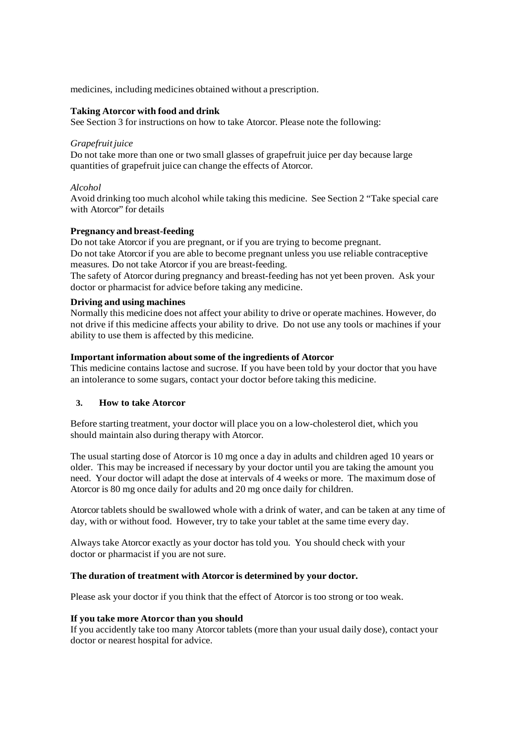medicines, including medicines obtained without a prescription.

### **Taking Atorcor with food and drink**

See Section 3 for instructions on how to take Atorcor. Please note the following:

### *Grapefruit juice*

Do not take more than one or two small glasses of grapefruit juice per day because large quantities of grapefruit juice can change the effects of Atorcor.

# *Alcohol*

Avoid drinking too much alcohol while taking this medicine. See Section 2 "Take special care with Atorcor" for details

# **Pregnancy and breast-feeding**

Do not take Atorcor if you are pregnant, or if you are trying to become pregnant. Do not take Atorcor if you are able to become pregnant unless you use reliable contraceptive measures. Do not take Atorcor if you are breast-feeding.

The safety of Atorcor during pregnancy and breast-feeding has not yet been proven. Ask your doctor or pharmacist for advice before taking any medicine.

# **Driving and using machines**

Normally this medicine does not affect your ability to drive or operate machines. However, do not drive if this medicine affects your ability to drive. Do not use any tools or machines if your ability to use them is affected by this medicine.

# **Important information about some of the ingredients of Atorcor**

This medicine contains lactose and sucrose. If you have been told by your doctor that you have an intolerance to some sugars, contact your doctor before taking this medicine.

# **3. How to take Atorcor**

Before starting treatment, your doctor will place you on a low-cholesterol diet, which you should maintain also during therapy with Atorcor.

The usual starting dose of Atorcor is 10 mg once a day in adults and children aged 10 years or older. This may be increased if necessary by your doctor until you are taking the amount you need. Your doctor will adapt the dose at intervals of 4 weeks or more. The maximum dose of Atorcor is 80 mg once daily for adults and 20 mg once daily for children.

Atorcor tablets should be swallowed whole with a drink of water, and can be taken at any time of day, with or without food. However, try to take your tablet at the same time every day.

Always take Atorcor exactly as your doctor has told you. You should check with your doctor or pharmacist if you are not sure.

# **The duration of treatment with Atorcor is determined by your doctor.**

Please ask your doctor if you think that the effect of Atorcor is too strong or too weak.

# **If you take more Atorcor than you should**

If you accidently take too many Atorcor tablets (more than your usual daily dose), contact your doctor or nearest hospital for advice.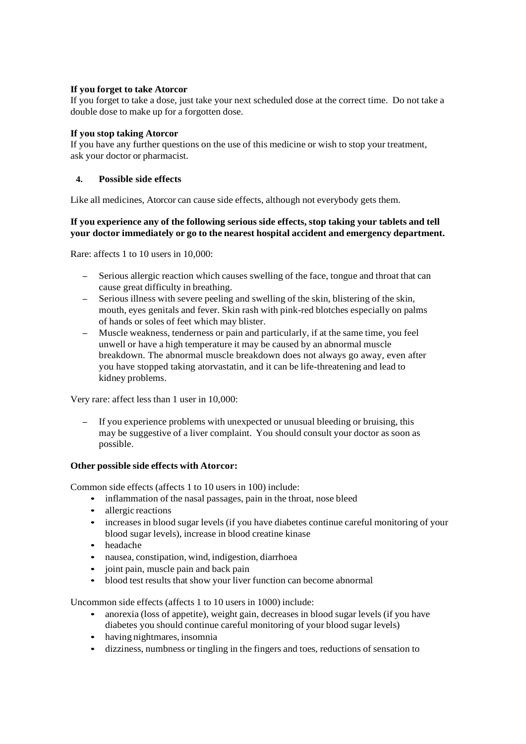# **If you forget to take Atorcor**

If you forget to take a dose, just take your next scheduled dose at the correct time. Do not take a double dose to make up for a forgotten dose.

# **If you stop taking Atorcor**

If you have any further questions on the use of this medicine or wish to stop your treatment, ask your doctor or pharmacist.

# **4. Possible side effects**

Like all medicines, Atorcor can cause side effects, although not everybody gets them.

# **If you experience any of the following serious side effects, stop taking your tablets and tell your doctor immediately or go to the nearest hospital accident and emergency department.**

Rare: affects 1 to 10 users in 10,000:

- Serious allergic reaction which causes swelling of the face, tongue and throat that can cause great difficulty in breathing.
- Serious illness with severe peeling and swelling of the skin, blistering of the skin, mouth, eyes genitals and fever. Skin rash with pink-red blotches especially on palms of hands or soles of feet which may blister.
- Muscle weakness, tenderness or pain and particularly, if at the same time, you feel unwell or have a high temperature it may be caused by an abnormal muscle breakdown. The abnormal muscle breakdown does not always go away, even after you have stopped taking atorvastatin, and it can be life-threatening and lead to kidney problems.

Very rare: affect less than 1 user in 10,000:

– If you experience problems with unexpected or unusual bleeding or bruising, this may be suggestive of a liver complaint. You should consult your doctor as soon as possible.

# **Other possible side effects with Atorcor:**

Common side effects (affects 1 to 10 users in 100) include:

- inflammation of the nasal passages, pain in the throat, nose bleed
- allergic reactions
- increases in blood sugar levels (if you have diabetes continue careful monitoring of your blood sugar levels), increase in blood creatine kinase
- headache
- nausea, constipation, wind, indigestion, diarrhoea
- joint pain, muscle pain and back pain
- blood test results that show your liver function can become abnormal

Uncommon side effects (affects 1 to 10 users in 1000) include:

- anorexia (loss of appetite), weight gain, decreases in blood sugar levels (if you have diabetes you should continue careful monitoring of your blood sugar levels)
- having nightmares, insomnia
- dizziness, numbness or tingling in the fingers and toes, reductions of sensation to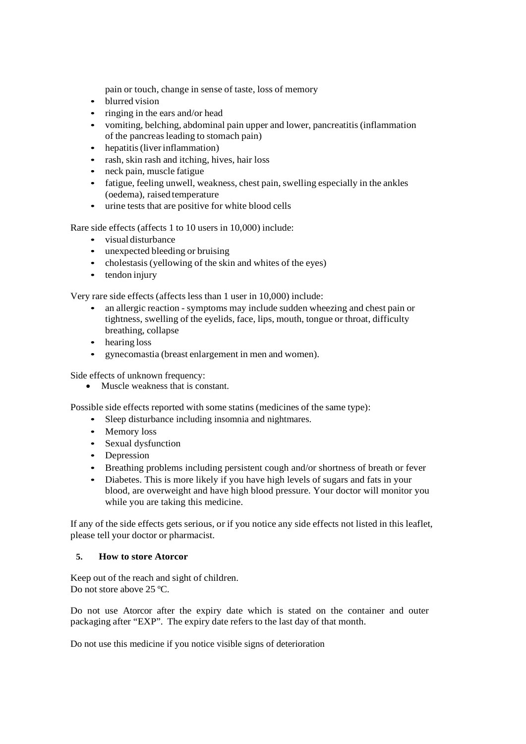pain or touch, change in sense of taste, loss of memory

- blurred vision
- ringing in the ears and/or head
- vomiting, belching, abdominal pain upper and lower, pancreatitis (inflammation of the pancreas leading to stomach pain)
- hepatitis (liver inflammation)
- rash, skin rash and itching, hives, hair loss
- neck pain, muscle fatigue
- fatigue, feeling unwell, weakness, chest pain, swelling especially in the ankles (oedema), raised temperature
- urine tests that are positive for white blood cells

Rare side effects (affects 1 to 10 users in 10,000) include:

- visual disturbance
- unexpected bleeding or bruising
- cholestasis (yellowing of the skin and whites of the eyes)
- tendon injury

Very rare side effects (affects less than 1 user in 10,000) include:

- an allergic reaction symptoms may include sudden wheezing and chest pain or tightness, swelling of the eyelids, face, lips, mouth, tongue or throat, difficulty breathing, collapse
- hearing loss
- gynecomastia (breast enlargement in men and women).

Side effects of unknown frequency:

• Muscle weakness that is constant.

Possible side effects reported with some statins (medicines of the same type):

- Sleep disturbance including insomnia and nightmares.
- Memory loss
- Sexual dysfunction
- Depression
- Breathing problems including persistent cough and/or shortness of breath or fever
- Diabetes. This is more likely if you have high levels of sugars and fats in your blood, are overweight and have high blood pressure. Your doctor will monitor you while you are taking this medicine.

If any of the side effects gets serious, or if you notice any side effects not listed in this leaflet, please tell your doctor or pharmacist.

# **5. How to store Atorcor**

Keep out of the reach and sight of children. Do not store above 25 °C.

Do not use Atorcor after the expiry date which is stated on the container and outer packaging after "EXP". The expiry date refers to the last day of that month.

Do not use this medicine if you notice visible signs of deterioration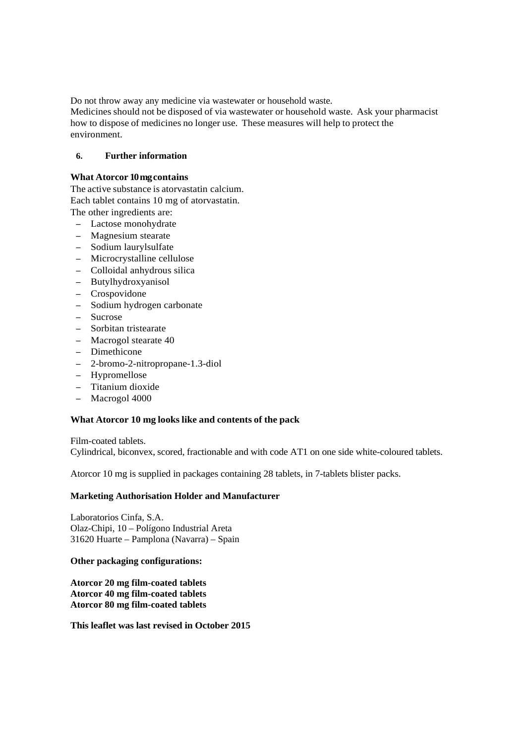Do not throw away any medicine via wastewater or household waste.

Medicines should not be disposed of via wastewater or household waste. Ask your pharmacist how to dispose of medicines no longer use. These measures will help to protect the environment.

## **6. Further information**

## **What Atorcor 10 mg contains**

The active substance is atorvastatin calcium. Each tablet contains 10 mg of atorvastatin.

The other ingredients are:

- Lactose monohydrate
- Magnesium stearate
- Sodium laurylsulfate
- Microcrystalline cellulose
- Colloidal anhydrous silica
- Butylhydroxyanisol
- Crospovidone
- Sodium hydrogen carbonate
- Sucrose
- Sorbitan tristearate
- Macrogol stearate 40
- Dimethicone
- 2-bromo-2-nitropropane-1.3-diol
- Hypromellose
- Titanium dioxide
- Macrogol 4000

## **What Atorcor 10 mg looks like and contents of the pack**

Film-coated tablets. Cylindrical, biconvex, scored, fractionable and with code AT1 on one side white-coloured tablets.

Atorcor 10 mg is supplied in packages containing 28 tablets, in 7-tablets blister packs.

#### **Marketing Authorisation Holder and Manufacturer**

Laboratorios Cinfa, S.A. Olaz-Chipi, 10 – Polígono Industrial Areta 31620 Huarte – Pamplona (Navarra) – Spain

#### **Other packaging configurations:**

**Atorcor 20 mg film-coated tablets Atorcor 40 mg film-coated tablets Atorcor 80 mg film-coated tablets** 

**This leaflet was last revised in October 2015**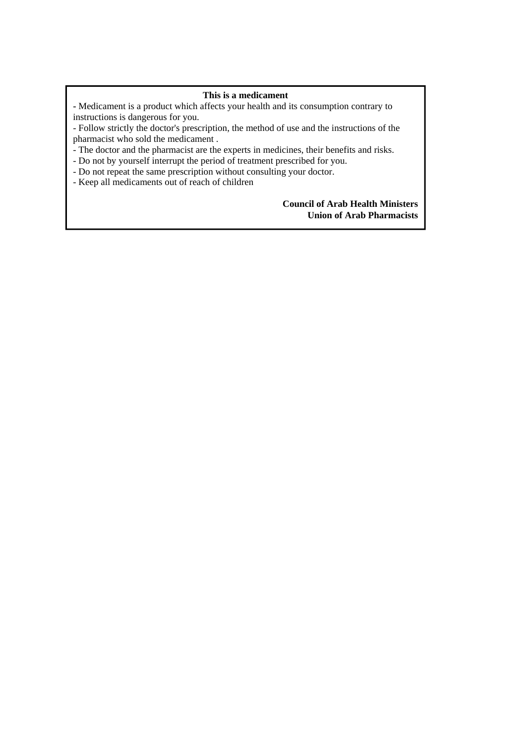# **This is a medicament**

**-** Medicament is a product which affects your health and its consumption contrary to instructions is dangerous for you.

- Follow strictly the doctor's prescription, the method of use and the instructions of the pharmacist who sold the medicament .

- The doctor and the pharmacist are the experts in medicines, their benefits and risks.

- Do not by yourself interrupt the period of treatment prescribed for you.

- Do not repeat the same prescription without consulting your doctor.

- Keep all medicaments out of reach of children

# **Council of Arab Health Ministers Union of Arab Pharmacists**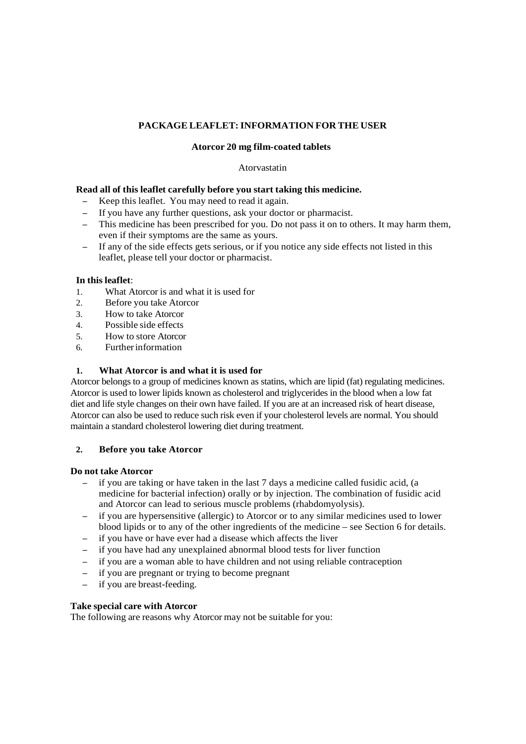# **PACKAGE LEAFLET: INFORMATION FOR THE USER**

## **Atorcor 20 mg film-coated tablets**

## Atorvastatin

## **Read all of this leaflet carefully before you start taking this medicine.**

- Keep this leaflet. You may need to read it again.
- If you have any further questions, ask your doctor or pharmacist.
- This medicine has been prescribed for you. Do not pass it on to others. It may harm them, even if their symptoms are the same as yours.
- If any of the side effects gets serious, or if you notice any side effects not listed in this leaflet, please tell your doctor or pharmacist.

### **In this leaflet**:

- 1. What Atorcor is and what it is used for
- 2. Before you take Atorcor
- 3. How to take Atorcor
- 4. Possible side effects
- 5. How to store Atorcor
- 6. Further information

### **1. What Atorcor is and what it is used for**

Atorcor belongs to a group of medicines known as statins, which are lipid (fat) regulating medicines. Atorcor is used to lower lipids known as cholesterol and triglycerides in the blood when a low fat diet and life style changes on their own have failed. If you are at an increased risk of heart disease, Atorcor can also be used to reduce such risk even if your cholesterol levels are normal. You should maintain a standard cholesterol lowering diet during treatment.

### **2. Before you take Atorcor**

#### **Do not take Atorcor**

- if you are taking or have taken in the last 7 days a medicine called fusidic acid, (a medicine for bacterial infection) orally or by injection. The combination of fusidic acid and Atorcor can lead to serious muscle problems (rhabdomyolysis).
- if you are hypersensitive (allergic) to Atorcor or to any similar medicines used to lower blood lipids or to any of the other ingredients of the medicine – see Section 6 for details.
- if you have or have ever had a disease which affects the liver
- if you have had any unexplained abnormal blood tests for liver function
- if you are a woman able to have children and not using reliable contraception
- if you are pregnant or trying to become pregnant
- if you are breast-feeding.

#### **Take special care with Atorcor**

The following are reasons why Atorcor may not be suitable for you: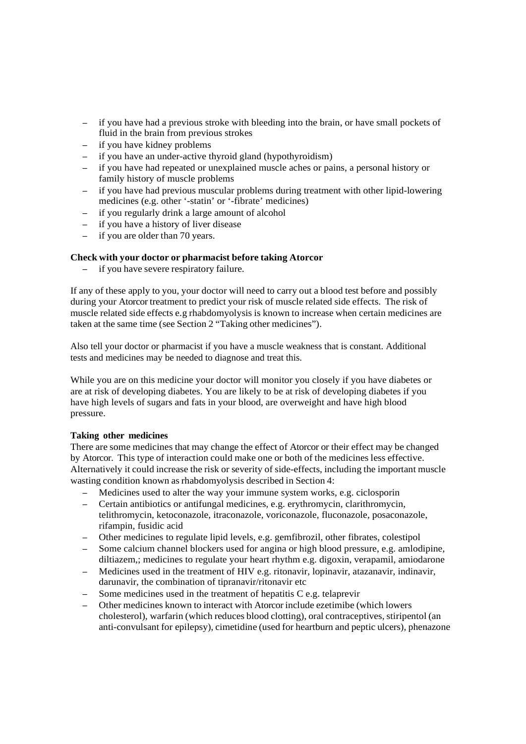- if you have had a previous stroke with bleeding into the brain, or have small pockets of fluid in the brain from previous strokes
- if you have kidney problems
- if you have an under-active thyroid gland (hypothyroidism)
- if you have had repeated or unexplained muscle aches or pains, a personal history or family history of muscle problems
- if you have had previous muscular problems during treatment with other lipid-lowering medicines (e.g. other '-statin' or '-fibrate' medicines)
- if you regularly drink a large amount of alcohol
- if you have a history of liver disease
- if you are older than 70 years.

# **Check with your doctor or pharmacist before taking Atorcor**

– if you have severe respiratory failure.

If any of these apply to you, your doctor will need to carry out a blood test before and possibly during your Atorcor treatment to predict your risk of muscle related side effects. The risk of muscle related side effects e.g rhabdomyolysis is known to increase when certain medicines are taken at the same time (see Section 2 "Taking other medicines").

Also tell your doctor or pharmacist if you have a muscle weakness that is constant. Additional tests and medicines may be needed to diagnose and treat this.

While you are on this medicine your doctor will monitor you closely if you have diabetes or are at risk of developing diabetes. You are likely to be at risk of developing diabetes if you have high levels of sugars and fats in your blood, are overweight and have high blood pressure.

# **Taking other medicines**

There are some medicines that may change the effect of Atorcor or their effect may be changed by Atorcor. This type of interaction could make one or both of the medicines less effective. Alternatively it could increase the risk or severity of side-effects, including the important muscle wasting condition known as rhabdomyolysis described in Section 4:

- Medicines used to alter the way your immune system works, e.g. ciclosporin
- Certain antibiotics or antifungal medicines, e.g. erythromycin, clarithromycin, telithromycin, ketoconazole, itraconazole, voriconazole, fluconazole, posaconazole, rifampin, fusidic acid
- Other medicines to regulate lipid levels, e.g. gemfibrozil, other fibrates, colestipol
- Some calcium channel blockers used for angina or high blood pressure, e.g. amlodipine, diltiazem,; medicines to regulate your heart rhythm e.g. digoxin, verapamil, amiodarone
- Medicines used in the treatment of HIV e.g. ritonavir, lopinavir, atazanavir, indinavir, darunavir, the combination of tipranavir/ritonavir etc
- Some medicines used in the treatment of hepatitis C e.g. telaprevir
- Other medicines known to interact with Atorcor include ezetimibe (which lowers cholesterol), warfarin (which reduces blood clotting), oral contraceptives, stiripentol (an anti-convulsant for epilepsy), cimetidine (used for heartburn and peptic ulcers), phenazone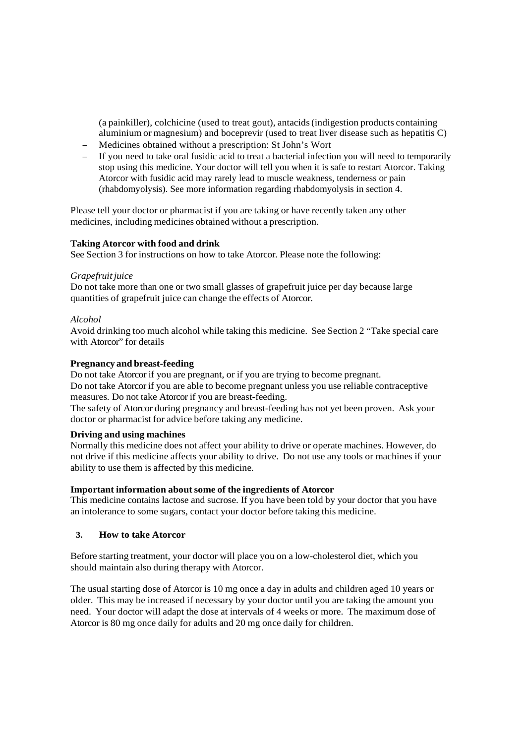(a painkiller), colchicine (used to treat gout), antacids (indigestion products containing aluminium or magnesium) and boceprevir (used to treat liver disease such as hepatitis C)

- Medicines obtained without a prescription: St John's Wort
- If you need to take oral fusidic acid to treat a bacterial infection you will need to temporarily stop using this medicine. Your doctor will tell you when it is safe to restart Atorcor. Taking Atorcor with fusidic acid may rarely lead to muscle weakness, tenderness or pain (rhabdomyolysis). See more information regarding rhabdomyolysis in section 4.

Please tell your doctor or pharmacist if you are taking or have recently taken any other medicines, including medicines obtained without a prescription.

# **Taking Atorcor with food and drink**

See Section 3 for instructions on how to take Atorcor. Please note the following:

# *Grapefruit juice*

Do not take more than one or two small glasses of grapefruit juice per day because large quantities of grapefruit juice can change the effects of Atorcor.

# *Alcohol*

Avoid drinking too much alcohol while taking this medicine. See Section 2 "Take special care with Atorcor" for details

# **Pregnancy and breast-feeding**

Do not take Atorcor if you are pregnant, or if you are trying to become pregnant. Do not take Atorcor if you are able to become pregnant unless you use reliable contraceptive measures. Do not take Atorcor if you are breast-feeding.

The safety of Atorcor during pregnancy and breast-feeding has not yet been proven. Ask your doctor or pharmacist for advice before taking any medicine.

# **Driving and using machines**

Normally this medicine does not affect your ability to drive or operate machines. However, do not drive if this medicine affects your ability to drive. Do not use any tools or machines if your ability to use them is affected by this medicine.

# **Important information about some of the ingredients of Atorcor**

This medicine contains lactose and sucrose. If you have been told by your doctor that you have an intolerance to some sugars, contact your doctor before taking this medicine.

# **3. How to take Atorcor**

Before starting treatment, your doctor will place you on a low-cholesterol diet, which you should maintain also during therapy with Atorcor.

The usual starting dose of Atorcor is 10 mg once a day in adults and children aged 10 years or older. This may be increased if necessary by your doctor until you are taking the amount you need. Your doctor will adapt the dose at intervals of 4 weeks or more. The maximum dose of Atorcor is 80 mg once daily for adults and 20 mg once daily for children.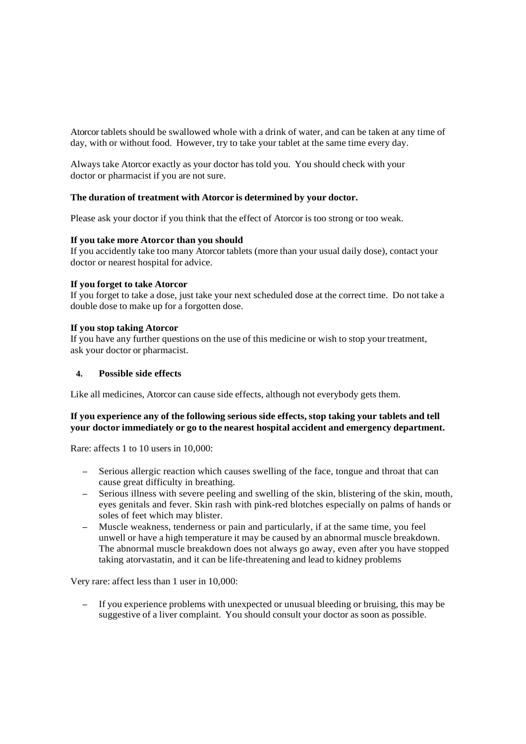Atorcor tablets should be swallowed whole with a drink of water, and can be taken at any time of day, with or without food. However, try to take your tablet at the same time every day.

Always take Atorcor exactly as your doctor has told you. You should check with your doctor or pharmacist if you are not sure.

# **The duration of treatment with Atorcor is determined by your doctor.**

Please ask your doctor if you think that the effect of Atorcor is too strong or too weak.

### **If you take more Atorcor than you should**

If you accidently take too many Atorcor tablets (more than your usual daily dose), contact your doctor or nearest hospital for advice.

### **If you forget to take Atorcor**

If you forget to take a dose, just take your next scheduled dose at the correct time. Do not take a double dose to make up for a forgotten dose.

### **If you stop taking Atorcor**

If you have any further questions on the use of this medicine or wish to stop your treatment, ask your doctor or pharmacist.

### **4. Possible side effects**

Like all medicines, Atorcor can cause side effects, although not everybody gets them.

# **If you experience any of the following serious side effects, stop taking your tablets and tell your doctor immediately or go to the nearest hospital accident and emergency department.**

Rare: affects 1 to 10 users in 10,000:

- Serious allergic reaction which causes swelling of the face, tongue and throat that can cause great difficulty in breathing.
- Serious illness with severe peeling and swelling of the skin, blistering of the skin, mouth, eyes genitals and fever. Skin rash with pink-red blotches especially on palms of hands or soles of feet which may blister.
- Muscle weakness, tenderness or pain and particularly, if at the same time, you feel unwell or have a high temperature it may be caused by an abnormal muscle breakdown. The abnormal muscle breakdown does not always go away, even after you have stopped taking atorvastatin, and it can be life-threatening and lead to kidney problems

Very rare: affect less than 1 user in 10,000:

– If you experience problems with unexpected or unusual bleeding or bruising, this may be suggestive of a liver complaint. You should consult your doctor as soon as possible.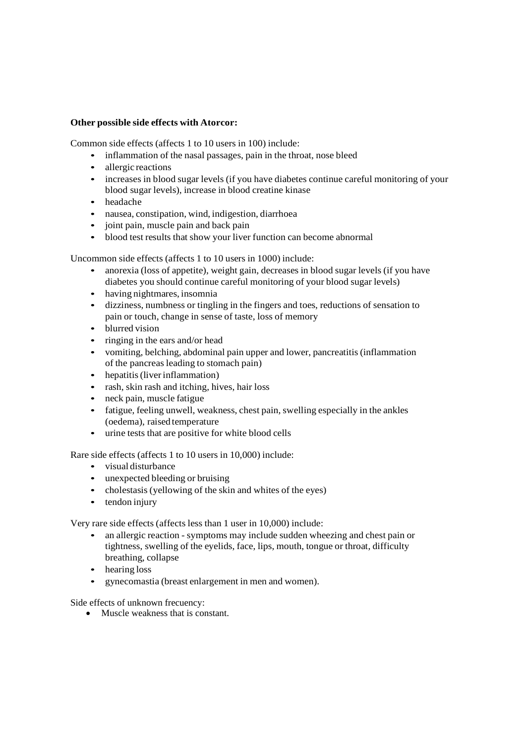## **Other possible side effects with Atorcor:**

Common side effects (affects 1 to 10 users in 100) include:

- inflammation of the nasal passages, pain in the throat, nose bleed
- allergic reactions
- increases in blood sugar levels (if you have diabetes continue careful monitoring of your blood sugar levels), increase in blood creatine kinase
- headache
- nausea, constipation, wind, indigestion, diarrhoea
- joint pain, muscle pain and back pain
- blood test results that show your liver function can become abnormal

Uncommon side effects (affects 1 to 10 users in 1000) include:

- anorexia (loss of appetite), weight gain, decreases in blood sugar levels (if you have diabetes you should continue careful monitoring of your blood sugar levels)
- having nightmares, insomnia
- dizziness, numbness or tingling in the fingers and toes, reductions of sensation to pain or touch, change in sense of taste, loss of memory
- blurred vision
- ringing in the ears and/or head
- vomiting, belching, abdominal pain upper and lower, pancreatitis (inflammation of the pancreas leading to stomach pain)
- hepatitis (liver inflammation)
- rash, skin rash and itching, hives, hair loss
- neck pain, muscle fatigue
- fatigue, feeling unwell, weakness, chest pain, swelling especially in the ankles (oedema), raised temperature
- urine tests that are positive for white blood cells

Rare side effects (affects 1 to 10 users in 10,000) include:

- visual disturbance
- unexpected bleeding or bruising
- cholestasis (yellowing of the skin and whites of the eyes)
- tendon injury

Very rare side effects (affects less than 1 user in 10,000) include:

- an allergic reaction symptoms may include sudden wheezing and chest pain or tightness, swelling of the eyelids, face, lips, mouth, tongue or throat, difficulty breathing, collapse
- hearing loss
- gynecomastia (breast enlargement in men and women).

Side effects of unknown frecuency:

• Muscle weakness that is constant.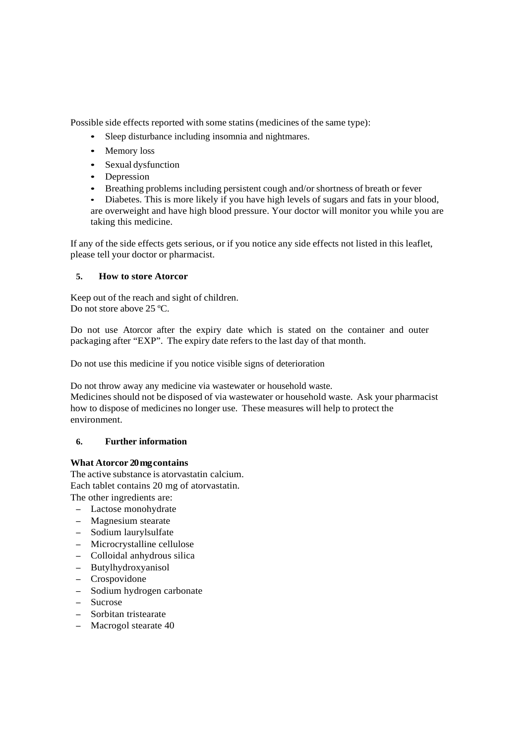Possible side effects reported with some statins (medicines of the same type):

- Sleep disturbance including insomnia and nightmares.
- Memory loss
- Sexual dysfunction
- Depression
- Breathing problems including persistent cough and/or shortness of breath or fever
- Diabetes. This is more likely if you have high levels of sugars and fats in your blood, are overweight and have high blood pressure. Your doctor will monitor you while you are taking this medicine.

If any of the side effects gets serious, or if you notice any side effects not listed in this leaflet, please tell your doctor or pharmacist.

# **5. How to store Atorcor**

Keep out of the reach and sight of children. Do not store above 25 ºC.

Do not use Atorcor after the expiry date which is stated on the container and outer packaging after "EXP". The expiry date refers to the last day of that month.

Do not use this medicine if you notice visible signs of deterioration

Do not throw away any medicine via wastewater or household waste.

Medicines should not be disposed of via wastewater or household waste. Ask your pharmacist how to dispose of medicines no longer use. These measures will help to protect the environment.

# **6. Further information**

# **What Atorcor 20 mg contains**

The active substance is atorvastatin calcium. Each tablet contains 20 mg of atorvastatin. The other ingredients are:

- Lactose monohydrate
- Magnesium stearate
- Sodium laurylsulfate
- Microcrystalline cellulose
- Colloidal anhydrous silica
- Butylhydroxyanisol
- Crospovidone
- Sodium hydrogen carbonate
- Sucrose
- Sorbitan tristearate
- Macrogol stearate 40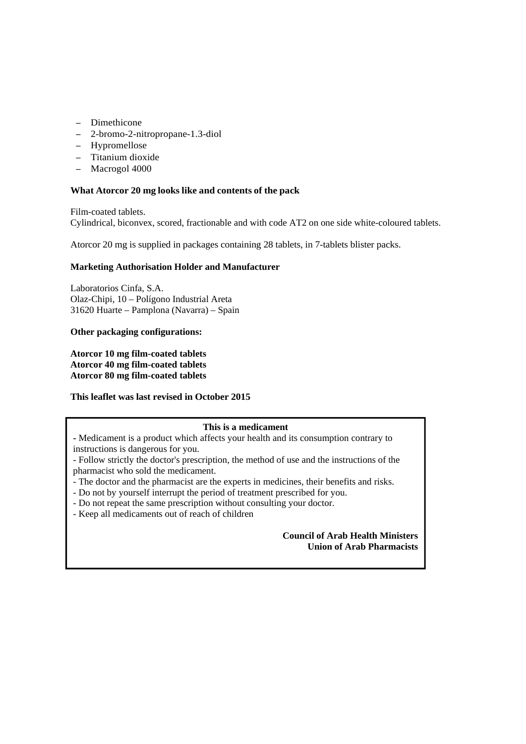- Dimethicone
- 2-bromo-2-nitropropane-1.3-diol
- Hypromellose
- Titanium dioxide
- Macrogol 4000

#### **What Atorcor 20 mg looks like and contents of the pack**

Film-coated tablets. Cylindrical, biconvex, scored, fractionable and with code AT2 on one side white-coloured tablets.

Atorcor 20 mg is supplied in packages containing 28 tablets, in 7-tablets blister packs.

#### **Marketing Authorisation Holder and Manufacturer**

Laboratorios Cinfa, S.A. Olaz-Chipi, 10 – Polígono Industrial Areta 31620 Huarte – Pamplona (Navarra) – Spain

#### **Other packaging configurations:**

**Atorcor 10 mg film-coated tablets Atorcor 40 mg film-coated tablets Atorcor 80 mg film-coated tablets** 

#### **This leaflet was last revised in October 2015**

#### **This is a medicament**

**-** Medicament is a product which affects your health and its consumption contrary to instructions is dangerous for you.

- Follow strictly the doctor's prescription, the method of use and the instructions of the pharmacist who sold the medicament.

- The doctor and the pharmacist are the experts in medicines, their benefits and risks.
- Do not by yourself interrupt the period of treatment prescribed for you.
- Do not repeat the same prescription without consulting your doctor.
- Keep all medicaments out of reach of children

## **Council of Arab Health Ministers Union of Arab Pharmacists**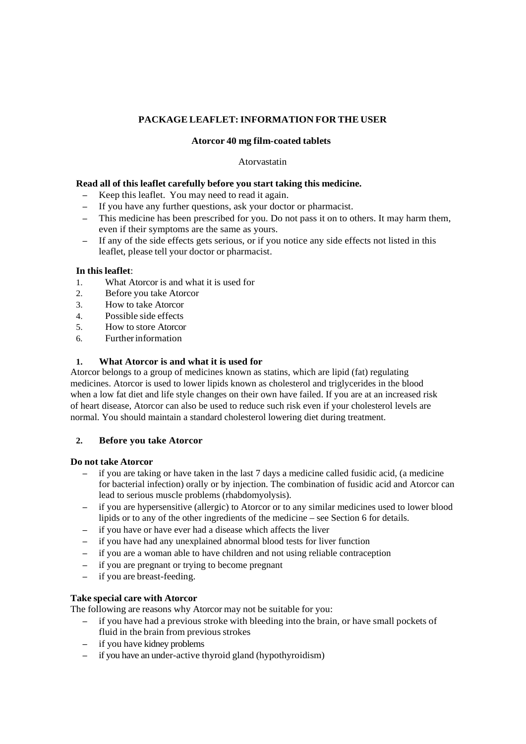# **PACKAGE LEAFLET: INFORMATION FOR THE USER**

# **Atorcor 40 mg film-coated tablets**

# Atorvastatin

# **Read all of this leaflet carefully before you start taking this medicine.**

- Keep this leaflet. You may need to read it again.
- If you have any further questions, ask your doctor or pharmacist.
- This medicine has been prescribed for you. Do not pass it on to others. It may harm them, even if their symptoms are the same as yours.
- If any of the side effects gets serious, or if you notice any side effects not listed in this leaflet, please tell your doctor or pharmacist.

# **In this leaflet**:

- 1. What Atorcor is and what it is used for
- 2. Before you take Atorcor
- 3. How to take Atorcor
- 4. Possible side effects
- 5. How to store Atorcor
- 6. Further information

# **1. What Atorcor is and what it is used for**

Atorcor belongs to a group of medicines known as statins, which are lipid (fat) regulating medicines. Atorcor is used to lower lipids known as cholesterol and triglycerides in the blood when a low fat diet and life style changes on their own have failed. If you are at an increased risk of heart disease, Atorcor can also be used to reduce such risk even if your cholesterol levels are normal. You should maintain a standard cholesterol lowering diet during treatment.

# **2. Before you take Atorcor**

# **Do not take Atorcor**

- if you are taking or have taken in the last 7 days a medicine called fusidic acid, (a medicine for bacterial infection) orally or by injection. The combination of fusidic acid and Atorcor can lead to serious muscle problems (rhabdomyolysis).
- if you are hypersensitive (allergic) to Atorcor or to any similar medicines used to lower blood lipids or to any of the other ingredients of the medicine – see Section 6 for details.
- if you have or have ever had a disease which affects the liver
- if you have had any unexplained abnormal blood tests for liver function
- if you are a woman able to have children and not using reliable contraception
- if you are pregnant or trying to become pregnant
- if you are breast-feeding.

# **Take special care with Atorcor**

The following are reasons why Atorcor may not be suitable for you:

- if you have had a previous stroke with bleeding into the brain, or have small pockets of fluid in the brain from previous strokes
- if you have kidney problems
- if you have an under-active thyroid gland (hypothyroidism)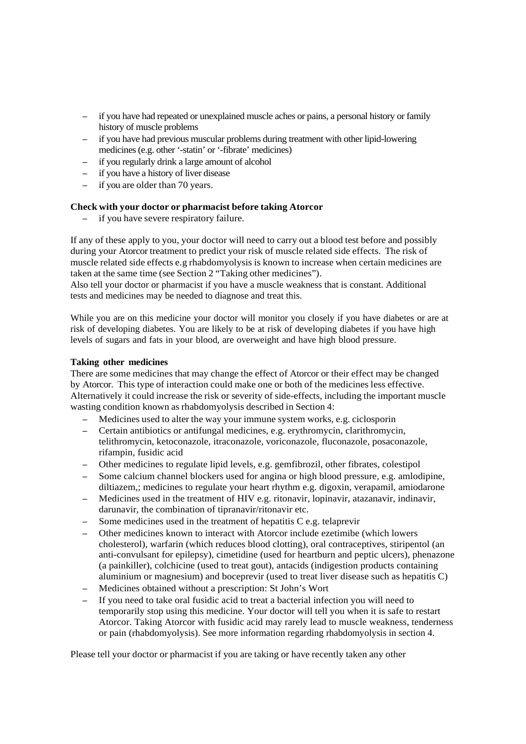- if you have had repeated or unexplained muscle aches or pains, a personal history or family history of muscle problems
- if you have had previous muscular problems during treatment with other lipid-lowering medicines (e.g. other '-statin' or '-fibrate' medicines)
- if you regularly drink a large amount of alcohol
- if you have a history of liver disease
- if you are older than 70 years.

#### **Check with your doctor or pharmacist before taking Atorcor**

– if you have severe respiratory failure.

If any of these apply to you, your doctor will need to carry out a blood test before and possibly during your Atorcor treatment to predict your risk of muscle related side effects. The risk of muscle related side effects e.g rhabdomyolysis is known to increase when certain medicines are taken at the same time (see Section 2 "Taking other medicines").

Also tell your doctor or pharmacist if you have a muscle weakness that is constant. Additional tests and medicines may be needed to diagnose and treat this.

While you are on this medicine your doctor will monitor you closely if you have diabetes or are at risk of developing diabetes. You are likely to be at risk of developing diabetes if you have high levels of sugars and fats in your blood, are overweight and have high blood pressure.

### **Taking other medicines**

There are some medicines that may change the effect of Atorcor or their effect may be changed by Atorcor. This type of interaction could make one or both of the medicines less effective. Alternatively it could increase the risk or severity of side-effects, including the important muscle wasting condition known as rhabdomyolysis described in Section 4:

- Medicines used to alter the way your immune system works, e.g. ciclosporin
- Certain antibiotics or antifungal medicines, e.g. erythromycin, clarithromycin, telithromycin, ketoconazole, itraconazole, voriconazole, fluconazole, posaconazole, rifampin, fusidic acid
- Other medicines to regulate lipid levels, e.g. gemfibrozil, other fibrates, colestipol
- Some calcium channel blockers used for angina or high blood pressure, e.g. amlodipine, diltiazem,; medicines to regulate your heart rhythm e.g. digoxin, verapamil, amiodarone
- Medicines used in the treatment of HIV e.g. ritonavir, lopinavir, atazanavir, indinavir, darunavir, the combination of tipranavir/ritonavir etc.
- Some medicines used in the treatment of hepatitis C e.g. telaprevir
- Other medicines known to interact with Atorcor include ezetimibe (which lowers cholesterol), warfarin (which reduces blood clotting), oral contraceptives, stiripentol (an anti-convulsant for epilepsy), cimetidine (used for heartburn and peptic ulcers), phenazone (a painkiller), colchicine (used to treat gout), antacids (indigestion products containing aluminium or magnesium) and boceprevir (used to treat liver disease such as hepatitis C)
- Medicines obtained without a prescription: St John's Wort
- If you need to take oral fusidic acid to treat a bacterial infection you will need to temporarily stop using this medicine. Your doctor will tell you when it is safe to restart Atorcor. Taking Atorcor with fusidic acid may rarely lead to muscle weakness, tenderness or pain (rhabdomyolysis). See more information regarding rhabdomyolysis in section 4.

Please tell your doctor or pharmacist if you are taking or have recently taken any other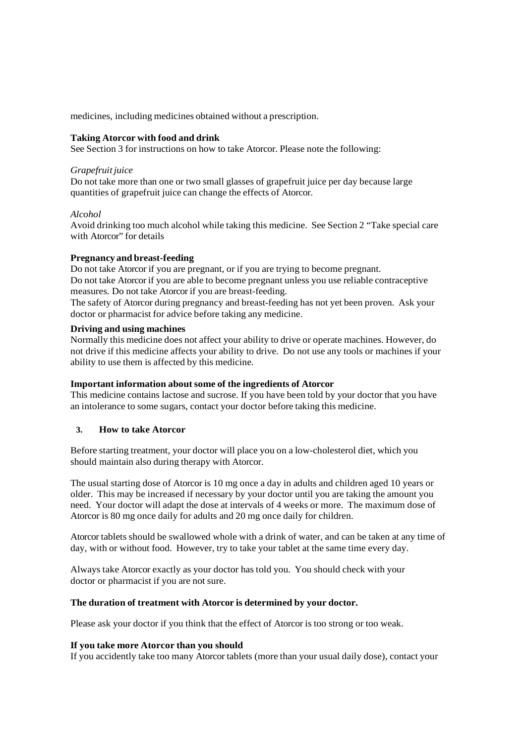medicines, including medicines obtained without a prescription.

### **Taking Atorcor with food and drink**

See Section 3 for instructions on how to take Atorcor. Please note the following:

#### *Grapefruit juice*

Do not take more than one or two small glasses of grapefruit juice per day because large quantities of grapefruit juice can change the effects of Atorcor.

# *Alcohol*

Avoid drinking too much alcohol while taking this medicine. See Section 2 "Take special care with Atorcor" for details

# **Pregnancy and breast-feeding**

Do not take Atorcor if you are pregnant, or if you are trying to become pregnant. Do not take Atorcor if you are able to become pregnant unless you use reliable contraceptive measures. Do not take Atorcor if you are breast-feeding.

The safety of Atorcor during pregnancy and breast-feeding has not yet been proven. Ask your doctor or pharmacist for advice before taking any medicine.

### **Driving and using machines**

Normally this medicine does not affect your ability to drive or operate machines. However, do not drive if this medicine affects your ability to drive. Do not use any tools or machines if your ability to use them is affected by this medicine.

# **Important information about some of the ingredients of Atorcor**

This medicine contains lactose and sucrose. If you have been told by your doctor that you have an intolerance to some sugars, contact your doctor before taking this medicine.

# **3. How to take Atorcor**

Before starting treatment, your doctor will place you on a low-cholesterol diet, which you should maintain also during therapy with Atorcor.

The usual starting dose of Atorcor is 10 mg once a day in adults and children aged 10 years or older. This may be increased if necessary by your doctor until you are taking the amount you need. Your doctor will adapt the dose at intervals of 4 weeks or more. The maximum dose of Atorcor is 80 mg once daily for adults and 20 mg once daily for children.

Atorcor tablets should be swallowed whole with a drink of water, and can be taken at any time of day, with or without food. However, try to take your tablet at the same time every day.

Always take Atorcor exactly as your doctor has told you. You should check with your doctor or pharmacist if you are not sure.

# **The duration of treatment with Atorcor is determined by your doctor.**

Please ask your doctor if you think that the effect of Atorcor is too strong or too weak.

# **If you take more Atorcor than you should**

If you accidently take too many Atorcor tablets (more than your usual daily dose), contact your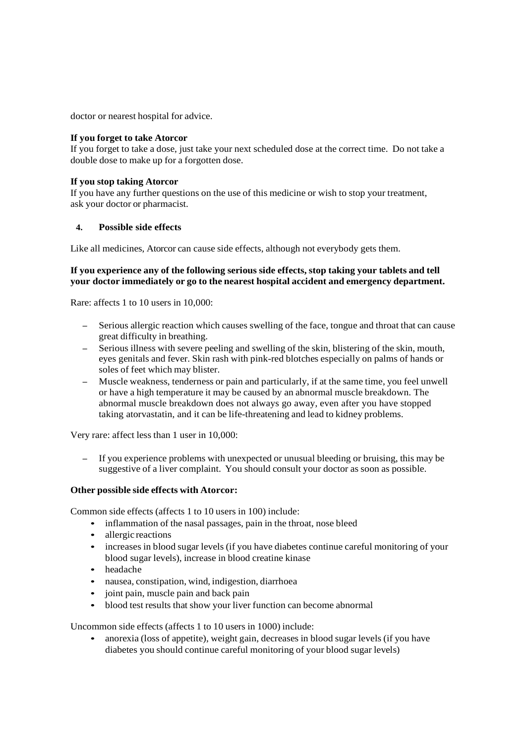doctor or nearest hospital for advice.

## **If you forget to take Atorcor**

If you forget to take a dose, just take your next scheduled dose at the correct time. Do not take a double dose to make up for a forgotten dose.

## **If you stop taking Atorcor**

If you have any further questions on the use of this medicine or wish to stop your treatment, ask your doctor or pharmacist.

# **4. Possible side effects**

Like all medicines, Atorcor can cause side effects, although not everybody gets them.

## **If you experience any of the following serious side effects, stop taking your tablets and tell your doctor immediately or go to the nearest hospital accident and emergency department.**

Rare: affects 1 to 10 users in 10,000:

- Serious allergic reaction which causes swelling of the face, tongue and throat that can cause great difficulty in breathing.
- Serious illness with severe peeling and swelling of the skin, blistering of the skin, mouth, eyes genitals and fever. Skin rash with pink-red blotches especially on palms of hands or soles of feet which may blister.
- Muscle weakness, tenderness or pain and particularly, if at the same time, you feel unwell or have a high temperature it may be caused by an abnormal muscle breakdown. The abnormal muscle breakdown does not always go away, even after you have stopped taking atorvastatin, and it can be life-threatening and lead to kidney problems.

Very rare: affect less than 1 user in 10,000:

– If you experience problems with unexpected or unusual bleeding or bruising, this may be suggestive of a liver complaint. You should consult your doctor as soon as possible.

# **Other possible side effects with Atorcor:**

Common side effects (affects 1 to 10 users in 100) include:

- inflammation of the nasal passages, pain in the throat, nose bleed
- allergic reactions
- increases in blood sugar levels (if you have diabetes continue careful monitoring of your blood sugar levels), increase in blood creatine kinase
- headache
- nausea, constipation, wind, indigestion, diarrhoea
- joint pain, muscle pain and back pain
- blood test results that show your liver function can become abnormal

Uncommon side effects (affects 1 to 10 users in 1000) include:

• anorexia (loss of appetite), weight gain, decreases in blood sugar levels (if you have diabetes you should continue careful monitoring of your blood sugar levels)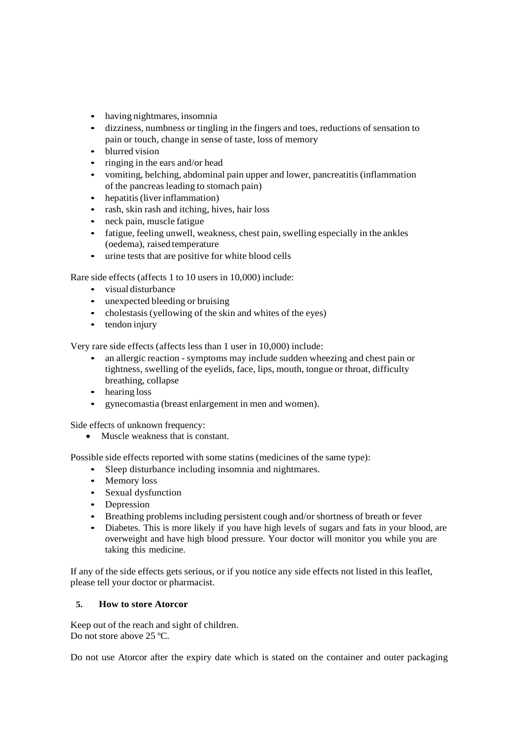- having nightmares, insomnia
- dizziness, numbness or tingling in the fingers and toes, reductions of sensation to pain or touch, change in sense of taste, loss of memory
- blurred vision
- ringing in the ears and/or head
- vomiting, belching, abdominal pain upper and lower, pancreatitis (inflammation of the pancreas leading to stomach pain)
- hepatitis (liver inflammation)
- rash, skin rash and itching, hives, hair loss
- neck pain, muscle fatigue
- fatigue, feeling unwell, weakness, chest pain, swelling especially in the ankles (oedema), raised temperature
- urine tests that are positive for white blood cells

Rare side effects (affects 1 to 10 users in 10,000) include:

- visual disturbance
- unexpected bleeding or bruising
- cholestasis (yellowing of the skin and whites of the eyes)
- tendon injury

Very rare side effects (affects less than 1 user in 10,000) include:

- an allergic reaction symptoms may include sudden wheezing and chest pain or tightness, swelling of the eyelids, face, lips, mouth, tongue or throat, difficulty breathing, collapse
- hearing loss
- gynecomastia (breast enlargement in men and women).

Side effects of unknown frequency:

• Muscle weakness that is constant.

Possible side effects reported with some statins (medicines of the same type):

- Sleep disturbance including insomnia and nightmares.
- Memory loss
- Sexual dysfunction
- Depression
- Breathing problems including persistent cough and/or shortness of breath or fever
- Diabetes. This is more likely if you have high levels of sugars and fats in your blood, are overweight and have high blood pressure. Your doctor will monitor you while you are taking this medicine.

If any of the side effects gets serious, or if you notice any side effects not listed in this leaflet, please tell your doctor or pharmacist.

# **5. How to store Atorcor**

Keep out of the reach and sight of children. Do not store above 25 °C.

Do not use Atorcor after the expiry date which is stated on the container and outer packaging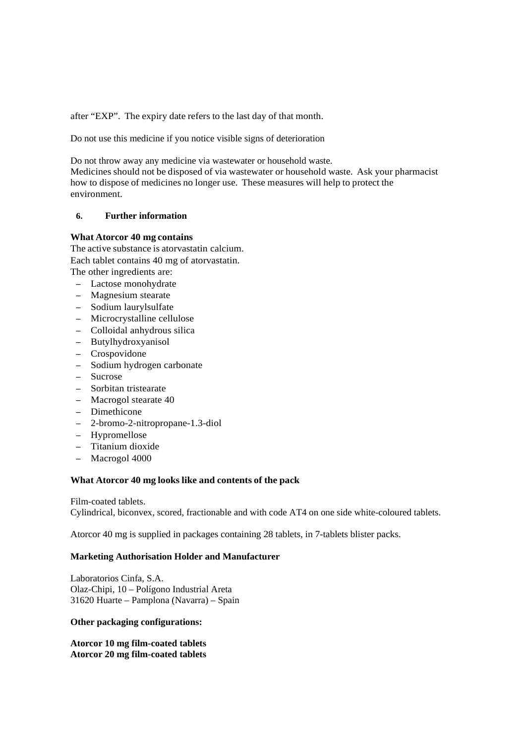after "EXP". The expiry date refers to the last day of that month.

Do not use this medicine if you notice visible signs of deterioration

Do not throw away any medicine via wastewater or household waste.

Medicines should not be disposed of via wastewater or household waste. Ask your pharmacist how to dispose of medicines no longer use. These measures will help to protect the environment.

# **6. Further information**

### **What Atorcor 40 mg contains**

The active substance is atorvastatin calcium. Each tablet contains 40 mg of atorvastatin. The other ingredients are:

- Lactose monohydrate
- Magnesium stearate
- Sodium laurylsulfate
- Microcrystalline cellulose
- Colloidal anhydrous silica
- Butylhydroxyanisol
- Crospovidone
- Sodium hydrogen carbonate
- Sucrose
- Sorbitan tristearate
- Macrogol stearate 40
- Dimethicone
- 2-bromo-2-nitropropane-1.3-diol
- Hypromellose
- Titanium dioxide
- Macrogol 4000

# **What Atorcor 40 mg looks like and contents of the pack**

Film-coated tablets.

Cylindrical, biconvex, scored, fractionable and with code AT4 on one side white-coloured tablets.

Atorcor 40 mg is supplied in packages containing 28 tablets, in 7-tablets blister packs.

## **Marketing Authorisation Holder and Manufacturer**

Laboratorios Cinfa, S.A. Olaz-Chipi, 10 – Polígono Industrial Areta 31620 Huarte – Pamplona (Navarra) – Spain

#### **Other packaging configurations:**

**Atorcor 10 mg film-coated tablets Atorcor 20 mg film-coated tablets**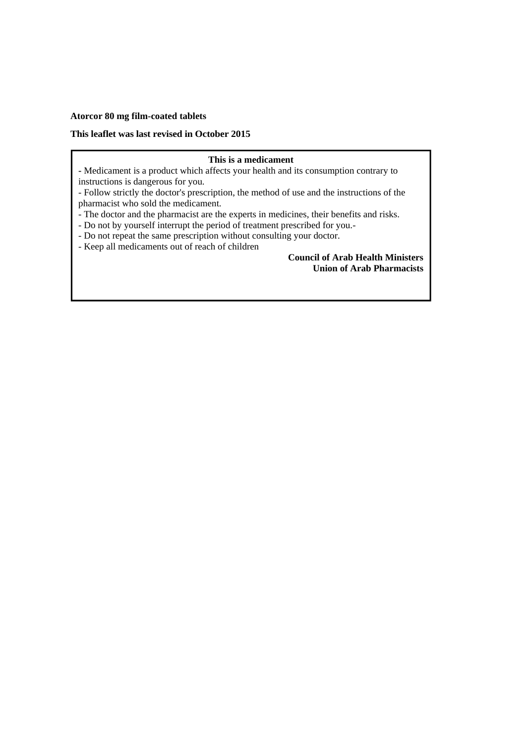### **Atorcor 80 mg film-coated tablets**

## **This leaflet was last revised in October 2015**

### **This is a medicament**

**-** Medicament is a product which affects your health and its consumption contrary to instructions is dangerous for you.

- Follow strictly the doctor's prescription, the method of use and the instructions of the pharmacist who sold the medicament.

- The doctor and the pharmacist are the experts in medicines, their benefits and risks.
- Do not by yourself interrupt the period of treatment prescribed for you.-
- Do not repeat the same prescription without consulting your doctor.
- Keep all medicaments out of reach of children

# **Council of Arab Health Ministers Union of Arab Pharmacists**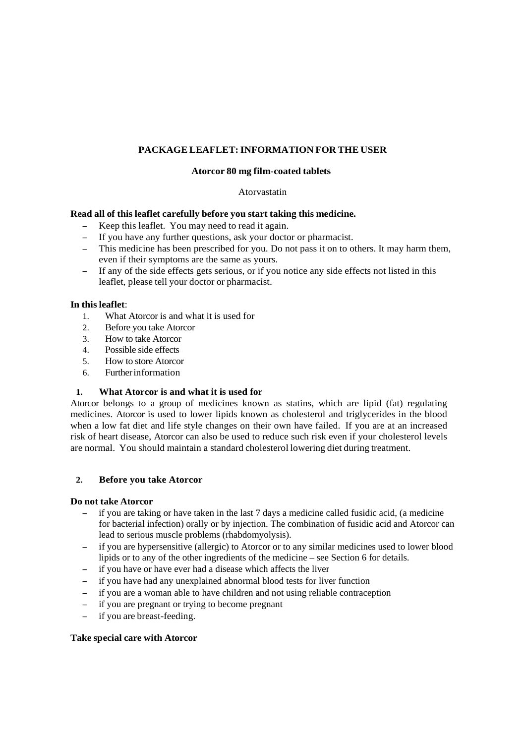# **PACKAGE LEAFLET: INFORMATION FOR THE USER**

## **Atorcor 80 mg film-coated tablets**

#### Atorvastatin

### **Read all of this leaflet carefully before you start taking this medicine.**

- Keep this leaflet. You may need to read it again.
- If you have any further questions, ask your doctor or pharmacist.
- This medicine has been prescribed for you. Do not pass it on to others. It may harm them, even if their symptoms are the same as yours.
- If any of the side effects gets serious, or if you notice any side effects not listed in this leaflet, please tell your doctor or pharmacist.

### **In this leaflet**:

- 1. What Atorcor is and what it is used for
- 2. Before you take Atorcor
- 3. How to take Atorcor
- 4. Possible side effects
- 5. How to store Atorcor
- 6. Further information

# **1. What Atorcor is and what it is used for**

Atorcor belongs to a group of medicines known as statins, which are lipid (fat) regulating medicines. Atorcor is used to lower lipids known as cholesterol and triglycerides in the blood when a low fat diet and life style changes on their own have failed. If you are at an increased risk of heart disease, Atorcor can also be used to reduce such risk even if your cholesterol levels are normal. You should maintain a standard cholesterol lowering diet during treatment.

# **2. Before you take Atorcor**

#### **Do not take Atorcor**

- if you are taking or have taken in the last 7 days a medicine called fusidic acid, (a medicine for bacterial infection) orally or by injection. The combination of fusidic acid and Atorcor can lead to serious muscle problems (rhabdomyolysis).
- if you are hypersensitive (allergic) to Atorcor or to any similar medicines used to lower blood lipids or to any of the other ingredients of the medicine – see Section 6 for details.
- if you have or have ever had a disease which affects the liver
- if you have had any unexplained abnormal blood tests for liver function
- if you are a woman able to have children and not using reliable contraception
- if you are pregnant or trying to become pregnant
- if you are breast-feeding.

#### **Take special care with Atorcor**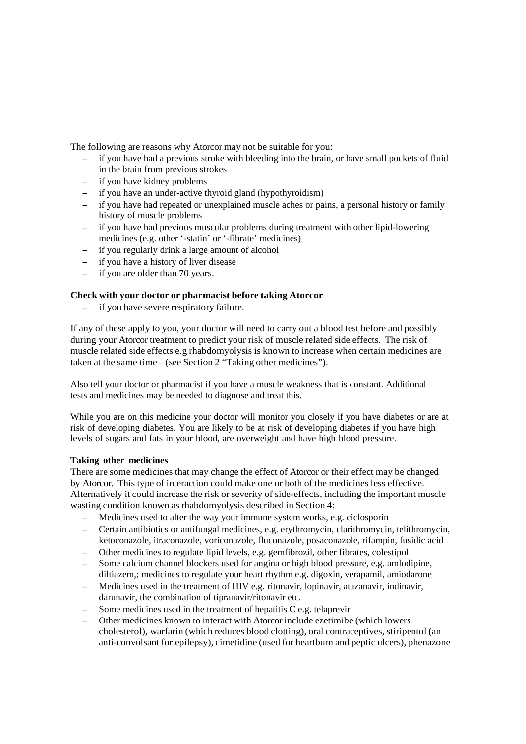The following are reasons why Atorcor may not be suitable for you:

- if you have had a previous stroke with bleeding into the brain, or have small pockets of fluid in the brain from previous strokes
- if you have kidney problems
- if you have an under-active thyroid gland (hypothyroidism)
- if you have had repeated or unexplained muscle aches or pains, a personal history or family history of muscle problems
- if you have had previous muscular problems during treatment with other lipid-lowering medicines (e.g. other '-statin' or '-fibrate' medicines)
- if you regularly drink a large amount of alcohol
- if you have a history of liver disease
- if you are older than 70 years.

# **Check with your doctor or pharmacist before taking Atorcor**

– if you have severe respiratory failure.

If any of these apply to you, your doctor will need to carry out a blood test before and possibly during your Atorcor treatment to predict your risk of muscle related side effects. The risk of muscle related side effects e.g rhabdomyolysis is known to increase when certain medicines are taken at the same time – (see Section 2 "Taking other medicines").

Also tell your doctor or pharmacist if you have a muscle weakness that is constant. Additional tests and medicines may be needed to diagnose and treat this.

While you are on this medicine your doctor will monitor you closely if you have diabetes or are at risk of developing diabetes. You are likely to be at risk of developing diabetes if you have high levels of sugars and fats in your blood, are overweight and have high blood pressure.

#### **Taking other medicines**

There are some medicines that may change the effect of Atorcor or their effect may be changed by Atorcor. This type of interaction could make one or both of the medicines less effective. Alternatively it could increase the risk or severity of side-effects, including the important muscle wasting condition known as rhabdomyolysis described in Section 4:

- Medicines used to alter the way your immune system works, e.g. ciclosporin
- Certain antibiotics or antifungal medicines, e.g. erythromycin, clarithromycin, telithromycin, ketoconazole, itraconazole, voriconazole, fluconazole, posaconazole, rifampin, fusidic acid
- Other medicines to regulate lipid levels, e.g. gemfibrozil, other fibrates, colestipol
- Some calcium channel blockers used for angina or high blood pressure, e.g. amlodipine, diltiazem,; medicines to regulate your heart rhythm e.g. digoxin, verapamil, amiodarone
- Medicines used in the treatment of HIV e.g. ritonavir, lopinavir, atazanavir, indinavir, darunavir, the combination of tipranavir/ritonavir etc.
- Some medicines used in the treatment of hepatitis C e.g. telaprevir
- Other medicines known to interact with Atorcor include ezetimibe (which lowers cholesterol), warfarin (which reduces blood clotting), oral contraceptives, stiripentol (an anti-convulsant for epilepsy), cimetidine (used for heartburn and peptic ulcers), phenazone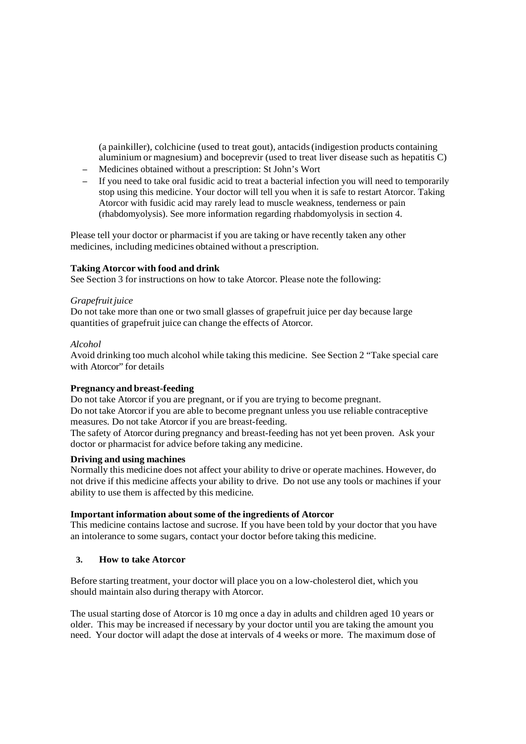(a painkiller), colchicine (used to treat gout), antacids (indigestion products containing aluminium or magnesium) and boceprevir (used to treat liver disease such as hepatitis C)

- Medicines obtained without a prescription: St John's Wort
- If you need to take oral fusidic acid to treat a bacterial infection you will need to temporarily stop using this medicine. Your doctor will tell you when it is safe to restart Atorcor. Taking Atorcor with fusidic acid may rarely lead to muscle weakness, tenderness or pain (rhabdomyolysis). See more information regarding rhabdomyolysis in section 4.

Please tell your doctor or pharmacist if you are taking or have recently taken any other medicines, including medicines obtained without a prescription.

# **Taking Atorcor with food and drink**

See Section 3 for instructions on how to take Atorcor. Please note the following:

#### *Grapefruit juice*

Do not take more than one or two small glasses of grapefruit juice per day because large quantities of grapefruit juice can change the effects of Atorcor.

#### *Alcohol*

Avoid drinking too much alcohol while taking this medicine. See Section 2 "Take special care with Atorcor" for details

#### **Pregnancy and breast-feeding**

Do not take Atorcor if you are pregnant, or if you are trying to become pregnant.

Do not take Atorcor if you are able to become pregnant unless you use reliable contraceptive measures. Do not take Atorcor if you are breast-feeding.

The safety of Atorcor during pregnancy and breast-feeding has not yet been proven. Ask your doctor or pharmacist for advice before taking any medicine.

# **Driving and using machines**

Normally this medicine does not affect your ability to drive or operate machines. However, do not drive if this medicine affects your ability to drive. Do not use any tools or machines if your ability to use them is affected by this medicine.

# **Important information about some of the ingredients of Atorcor**

This medicine contains lactose and sucrose. If you have been told by your doctor that you have an intolerance to some sugars, contact your doctor before taking this medicine.

# **3. How to take Atorcor**

Before starting treatment, your doctor will place you on a low-cholesterol diet, which you should maintain also during therapy with Atorcor.

The usual starting dose of Atorcor is 10 mg once a day in adults and children aged 10 years or older. This may be increased if necessary by your doctor until you are taking the amount you need. Your doctor will adapt the dose at intervals of 4 weeks or more. The maximum dose of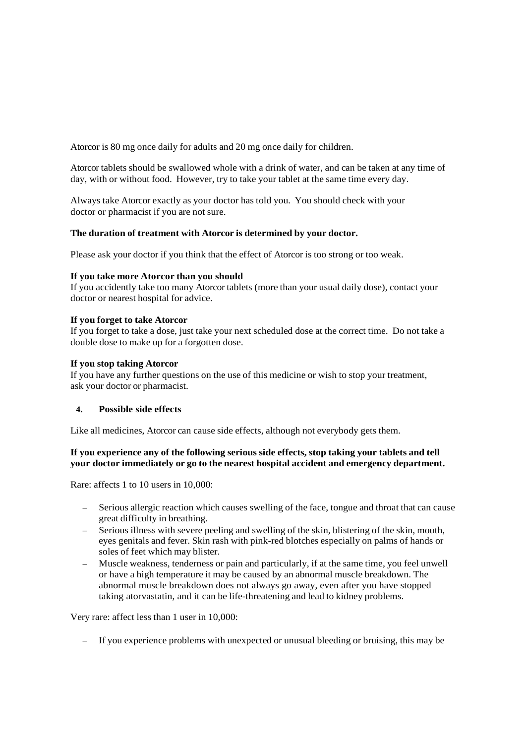Atorcor is 80 mg once daily for adults and 20 mg once daily for children.

Atorcor tablets should be swallowed whole with a drink of water, and can be taken at any time of day, with or without food. However, try to take your tablet at the same time every day.

Always take Atorcor exactly as your doctor has told you. You should check with your doctor or pharmacist if you are not sure.

# **The duration of treatment with Atorcor is determined by your doctor.**

Please ask your doctor if you think that the effect of Atorcor is too strong or too weak.

## **If you take more Atorcor than you should**

If you accidently take too many Atorcor tablets (more than your usual daily dose), contact your doctor or nearest hospital for advice.

### **If you forget to take Atorcor**

If you forget to take a dose, just take your next scheduled dose at the correct time. Do not take a double dose to make up for a forgotten dose.

### **If you stop taking Atorcor**

If you have any further questions on the use of this medicine or wish to stop your treatment, ask your doctor or pharmacist.

# **4. Possible side effects**

Like all medicines, Atorcor can cause side effects, although not everybody gets them.

# **If you experience any of the following serious side effects, stop taking your tablets and tell your doctor immediately or go to the nearest hospital accident and emergency department.**

Rare: affects 1 to 10 users in 10,000:

- Serious allergic reaction which causes swelling of the face, tongue and throat that can cause great difficulty in breathing.
- Serious illness with severe peeling and swelling of the skin, blistering of the skin, mouth, eyes genitals and fever. Skin rash with pink-red blotches especially on palms of hands or soles of feet which may blister.
- Muscle weakness, tenderness or pain and particularly, if at the same time, you feel unwell or have a high temperature it may be caused by an abnormal muscle breakdown. The abnormal muscle breakdown does not always go away, even after you have stopped taking atorvastatin, and it can be life-threatening and lead to kidney problems.

Very rare: affect less than 1 user in 10,000:

– If you experience problems with unexpected or unusual bleeding or bruising, this may be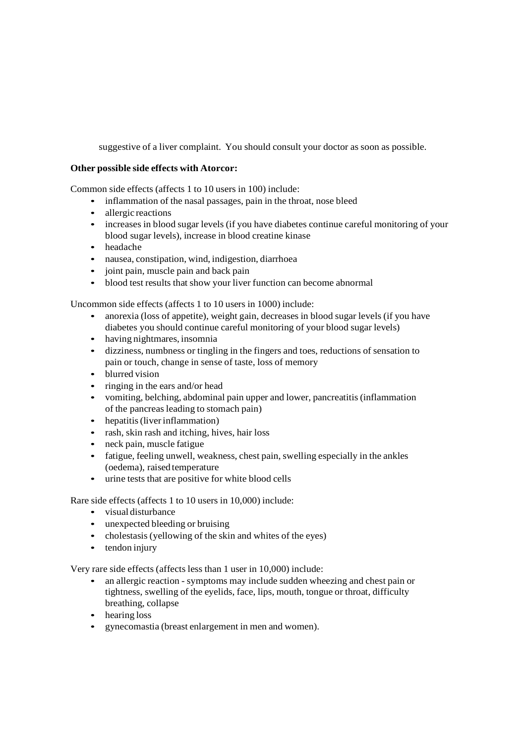suggestive of a liver complaint. You should consult your doctor as soon as possible.

# **Other possible side effects with Atorcor:**

Common side effects (affects 1 to 10 users in 100) include:

- inflammation of the nasal passages, pain in the throat, nose bleed
- allergic reactions
- increases in blood sugar levels (if you have diabetes continue careful monitoring of your blood sugar levels), increase in blood creatine kinase
- headache
- nausea, constipation, wind, indigestion, diarrhoea
- joint pain, muscle pain and back pain
- blood test results that show your liver function can become abnormal

Uncommon side effects (affects 1 to 10 users in 1000) include:

- anorexia (loss of appetite), weight gain, decreases in blood sugar levels (if you have diabetes you should continue careful monitoring of your blood sugar levels)
- having nightmares, insomnia
- dizziness, numbness or tingling in the fingers and toes, reductions of sensation to pain or touch, change in sense of taste, loss of memory
- blurred vision
- ringing in the ears and/or head
- vomiting, belching, abdominal pain upper and lower, pancreatitis (inflammation of the pancreas leading to stomach pain)
- hepatitis (liver inflammation)
- rash, skin rash and itching, hives, hair loss
- neck pain, muscle fatigue
- fatigue, feeling unwell, weakness, chest pain, swelling especially in the ankles (oedema), raised temperature
- urine tests that are positive for white blood cells

Rare side effects (affects 1 to 10 users in 10,000) include:

- visual disturbance
- unexpected bleeding or bruising
- cholestasis (yellowing of the skin and whites of the eyes)
- tendon injury

Very rare side effects (affects less than 1 user in 10,000) include:

- an allergic reaction symptoms may include sudden wheezing and chest pain or tightness, swelling of the eyelids, face, lips, mouth, tongue or throat, difficulty breathing, collapse
- hearing loss
- gynecomastia (breast enlargement in men and women).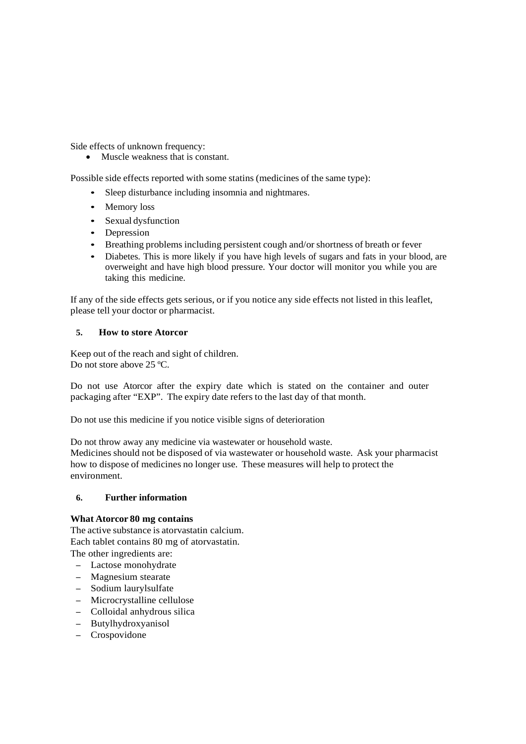Side effects of unknown frequency:

• Muscle weakness that is constant.

Possible side effects reported with some statins (medicines of the same type):

- Sleep disturbance including insomnia and nightmares.
- Memory loss
- Sexual dysfunction
- Depression
- Breathing problems including persistent cough and/or shortness of breath or fever
- Diabetes. This is more likely if you have high levels of sugars and fats in your blood, are overweight and have high blood pressure. Your doctor will monitor you while you are taking this medicine.

If any of the side effects gets serious, or if you notice any side effects not listed in this leaflet, please tell your doctor or pharmacist.

# **5. How to store Atorcor**

Keep out of the reach and sight of children. Do not store above 25 °C.

Do not use Atorcor after the expiry date which is stated on the container and outer packaging after "EXP". The expiry date refers to the last day of that month.

Do not use this medicine if you notice visible signs of deterioration

Do not throw away any medicine via wastewater or household waste.

Medicines should not be disposed of via wastewater or household waste. Ask your pharmacist how to dispose of medicines no longer use. These measures will help to protect the environment.

# **6. Further information**

# **What Atorcor 80 mg contains**

The active substance is atorvastatin calcium. Each tablet contains 80 mg of atorvastatin. The other ingredients are:

- Lactose monohydrate
- Magnesium stearate
- Sodium laurylsulfate
- Microcrystalline cellulose
- Colloidal anhydrous silica
- Butylhydroxyanisol
- Crospovidone